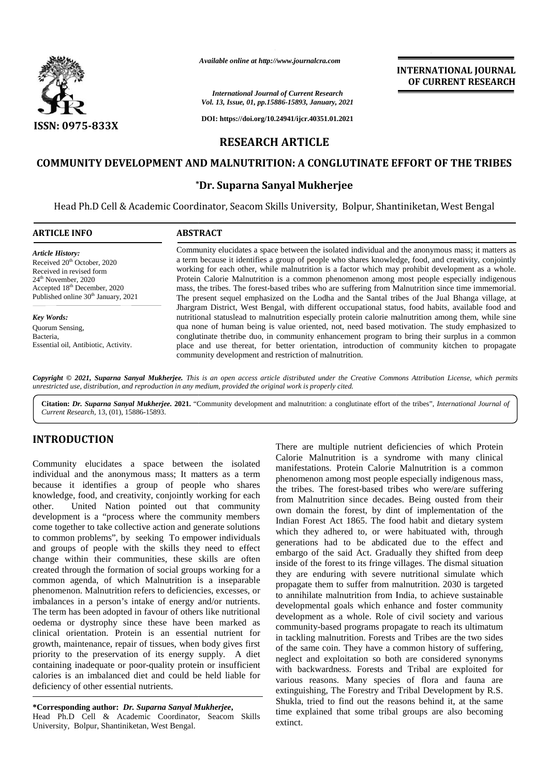

*Available online at http://www.journalcra.com*

#### *International Journal of Current Research Vol. 13, Issue, 01, pp.15886-15893, January, 2021*

# **INTERNATIONAL JOURNAL OF CURRENT RESEARCH**

# **COMMUNITY DEVELOPMENT AND MALNUTRITION: A CONGLUTINATE EFFORT OF THE TRIBES** .<br>UTINATE E<br>ee

## **\*Dr. Suparna Sanyal Mukherjee**

|                                                                                                                                                                                                                                                                                                                                                                                                                                                                                                                                                                                                                                                                                                                                                                                                                                                                                                                                                                                                                                                                                                                                                                                                                                                                                                                    |                                          | Available online at http://www.journalcra.com                                                         | <b>INTERNATIONAL JOURNAL</b><br>OF CURRENT RESEARCH                                                                                                                                                                                                                                                                                                                                                                                                                                                                                                                                                                                                                                                                                                                                                                                                                                                                                                                                                                                                                                                                                                                                                                                                                                                                                                                                                                                                 |
|--------------------------------------------------------------------------------------------------------------------------------------------------------------------------------------------------------------------------------------------------------------------------------------------------------------------------------------------------------------------------------------------------------------------------------------------------------------------------------------------------------------------------------------------------------------------------------------------------------------------------------------------------------------------------------------------------------------------------------------------------------------------------------------------------------------------------------------------------------------------------------------------------------------------------------------------------------------------------------------------------------------------------------------------------------------------------------------------------------------------------------------------------------------------------------------------------------------------------------------------------------------------------------------------------------------------|------------------------------------------|-------------------------------------------------------------------------------------------------------|-----------------------------------------------------------------------------------------------------------------------------------------------------------------------------------------------------------------------------------------------------------------------------------------------------------------------------------------------------------------------------------------------------------------------------------------------------------------------------------------------------------------------------------------------------------------------------------------------------------------------------------------------------------------------------------------------------------------------------------------------------------------------------------------------------------------------------------------------------------------------------------------------------------------------------------------------------------------------------------------------------------------------------------------------------------------------------------------------------------------------------------------------------------------------------------------------------------------------------------------------------------------------------------------------------------------------------------------------------------------------------------------------------------------------------------------------------|
|                                                                                                                                                                                                                                                                                                                                                                                                                                                                                                                                                                                                                                                                                                                                                                                                                                                                                                                                                                                                                                                                                                                                                                                                                                                                                                                    |                                          | <b>International Journal of Current Research</b><br>Vol. 13, Issue, 01, pp.15886-15893, January, 2021 |                                                                                                                                                                                                                                                                                                                                                                                                                                                                                                                                                                                                                                                                                                                                                                                                                                                                                                                                                                                                                                                                                                                                                                                                                                                                                                                                                                                                                                                     |
| ISSN: 0975-833X                                                                                                                                                                                                                                                                                                                                                                                                                                                                                                                                                                                                                                                                                                                                                                                                                                                                                                                                                                                                                                                                                                                                                                                                                                                                                                    |                                          | DOI: https://doi.org/10.24941/ijcr.40351.01.2021                                                      |                                                                                                                                                                                                                                                                                                                                                                                                                                                                                                                                                                                                                                                                                                                                                                                                                                                                                                                                                                                                                                                                                                                                                                                                                                                                                                                                                                                                                                                     |
|                                                                                                                                                                                                                                                                                                                                                                                                                                                                                                                                                                                                                                                                                                                                                                                                                                                                                                                                                                                                                                                                                                                                                                                                                                                                                                                    |                                          | <b>RESEARCH ARTICLE</b>                                                                               |                                                                                                                                                                                                                                                                                                                                                                                                                                                                                                                                                                                                                                                                                                                                                                                                                                                                                                                                                                                                                                                                                                                                                                                                                                                                                                                                                                                                                                                     |
|                                                                                                                                                                                                                                                                                                                                                                                                                                                                                                                                                                                                                                                                                                                                                                                                                                                                                                                                                                                                                                                                                                                                                                                                                                                                                                                    |                                          |                                                                                                       | <b>COMMUNITY DEVELOPMENT AND MALNUTRITION: A CONGLUTINATE EFFORT OF THE TRIBES</b>                                                                                                                                                                                                                                                                                                                                                                                                                                                                                                                                                                                                                                                                                                                                                                                                                                                                                                                                                                                                                                                                                                                                                                                                                                                                                                                                                                  |
|                                                                                                                                                                                                                                                                                                                                                                                                                                                                                                                                                                                                                                                                                                                                                                                                                                                                                                                                                                                                                                                                                                                                                                                                                                                                                                                    |                                          | *Dr. Suparna Sanyal Mukherjee                                                                         |                                                                                                                                                                                                                                                                                                                                                                                                                                                                                                                                                                                                                                                                                                                                                                                                                                                                                                                                                                                                                                                                                                                                                                                                                                                                                                                                                                                                                                                     |
|                                                                                                                                                                                                                                                                                                                                                                                                                                                                                                                                                                                                                                                                                                                                                                                                                                                                                                                                                                                                                                                                                                                                                                                                                                                                                                                    |                                          |                                                                                                       | Head Ph.D Cell & Academic Coordinator, Seacom Skills University, Bolpur, Shantiniketan, West Bengal                                                                                                                                                                                                                                                                                                                                                                                                                                                                                                                                                                                                                                                                                                                                                                                                                                                                                                                                                                                                                                                                                                                                                                                                                                                                                                                                                 |
| <b>ARTICLE INFO</b>                                                                                                                                                                                                                                                                                                                                                                                                                                                                                                                                                                                                                                                                                                                                                                                                                                                                                                                                                                                                                                                                                                                                                                                                                                                                                                | <b>ABSTRACT</b>                          |                                                                                                       |                                                                                                                                                                                                                                                                                                                                                                                                                                                                                                                                                                                                                                                                                                                                                                                                                                                                                                                                                                                                                                                                                                                                                                                                                                                                                                                                                                                                                                                     |
| Article History:<br>Received 20 <sup>th</sup> October, 2020<br>Received in revised form<br>24 <sup>th</sup> November, 2020<br>Accepted 18th December, 2020<br>Published online 30 <sup>th</sup> January, 2021<br><b>Key Words:</b><br>Quorum Sensing,<br>Bacteria,<br>Essential oil, Antibiotic, Activity.                                                                                                                                                                                                                                                                                                                                                                                                                                                                                                                                                                                                                                                                                                                                                                                                                                                                                                                                                                                                         |                                          | community development and restriction of malnutrition.                                                | Community elucidates a space between the isolated individual and the anonymous mass; it matters as<br>a term because it identifies a group of people who shares knowledge, food, and creativity, conjointly<br>working for each other, while malnutrition is a factor which may prohibit development as a whole.<br>Protein Calorie Malnutrition is a common phenomenon among most people especially indigenous<br>mass, the tribes. The forest-based tribes who are suffering from Malnutrition since time immemorial.<br>The present sequel emphasized on the Lodha and the Santal tribes of the Jual Bhanga village, at<br>Jhargram District, West Bengal, with different occupational status, food habits, available food and<br>nutritional statuslead to malnutrition especially protein calorie malnutrition among them, while sine<br>qua none of human being is value oriented, not, need based motivation. The study emphasized to<br>conglutinate thetribe duo, in community enhancement program to bring their surplus in a common<br>place and use thereat, for better orientation, introduction of community kitchen to propagate                                                                                                                                                                                                                                                                                                     |
| Current Research, 13, (01), 15886-15893.<br><b>INTRODUCTION</b>                                                                                                                                                                                                                                                                                                                                                                                                                                                                                                                                                                                                                                                                                                                                                                                                                                                                                                                                                                                                                                                                                                                                                                                                                                                    |                                          |                                                                                                       | There are multiple nutrient deficiencies of which Protein                                                                                                                                                                                                                                                                                                                                                                                                                                                                                                                                                                                                                                                                                                                                                                                                                                                                                                                                                                                                                                                                                                                                                                                                                                                                                                                                                                                           |
| Community elucidates a space between the isolated<br>individual and the anonymous mass; It matters as a term<br>because it identifies a group of people who shares<br>knowledge, food, and creativity, conjointly working for each<br>other.<br>development is a "process where the community members<br>come together to take collective action and generate solutions<br>to common problems", by seeking To empower individuals<br>and groups of people with the skills they need to effect<br>change within their communities, these skills are often<br>created through the formation of social groups working for a<br>common agenda, of which Malnutrition is a inseparable<br>phenomenon. Malnutrition refers to deficiencies, excesses, or<br>imbalances in a person's intake of energy and/or nutrients.<br>The term has been adopted in favour of others like nutritional<br>oedema or dystrophy since these have been marked as<br>clinical orientation. Protein is an essential nutrient for<br>growth, maintenance, repair of tissues, when body gives first<br>priority to the preservation of its energy supply. A diet<br>containing inadequate or poor-quality protein or insufficient<br>calories is an imbalanced diet and could be held liable for<br>deficiency of other essential nutrients. | United Nation pointed out that community |                                                                                                       | Calorie Malnutrition is a syndrome with many clinical<br>manifestations. Protein Calorie Malnutrition is a common<br>phenomenon among most people especially indigenous mass,<br>the tribes. The forest-based tribes who were/are suffering<br>from Malnutrition since decades. Being ousted from their<br>own domain the forest, by dint of implementation of the<br>Indian Forest Act 1865. The food habit and dietary system<br>which they adhered to, or were habituated with, through<br>generations had to be abdicated due to the effect and<br>embargo of the said Act. Gradually they shifted from deep<br>inside of the forest to its fringe villages. The dismal situation<br>they are enduring with severe nutritional simulate which<br>propagate them to suffer from malnutrition. 2030 is targeted<br>to annihilate malnutrition from India, to achieve sustainable<br>developmental goals which enhance and foster community<br>development as a whole. Role of civil society and various<br>community-based programs propagate to reach its ultimatum<br>in tackling malnutrition. Forests and Tribes are the two sides<br>of the same coin. They have a common history of suffering,<br>neglect and exploitation so both are considered synonyms<br>with backwardness. Forests and Tribal are exploited for<br>various reasons. Many species of flora and fauna are<br>extinguishing, The Forestry and Tribal Development by R.S. |

## **INTRODUCTION INTRODUCTION**

**\*Corresponding author:** *Dr. Suparna Sanyal Mukherjee***, \*Corresponding***Suparna Sanyal*  Head Ph.D Cell & Academic Coordinator, Seacom Skills University, Bolpur, Shantiniketan, West Bengal.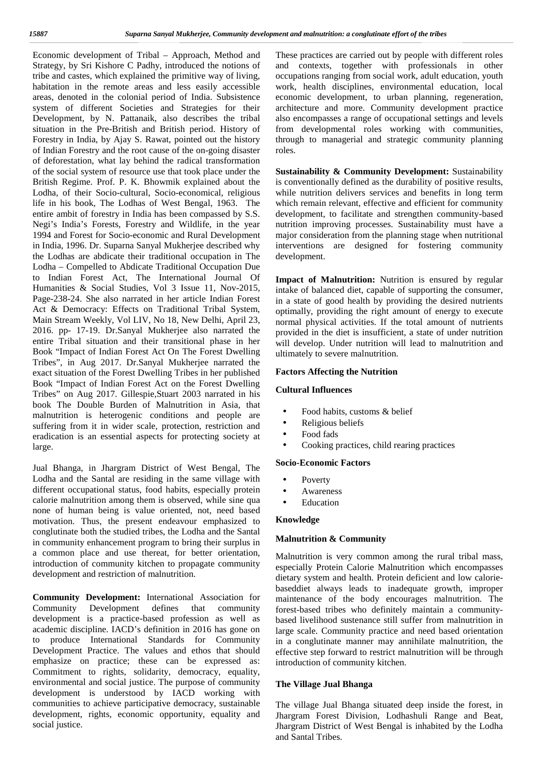Economic development of Tribal – Approach, Method and Strategy, by Sri Kishore C Padhy, introduced the notions of tribe and castes, which explained the primitive way of living, habitation in the remote areas and less easily accessible areas, denoted in the colonial period of India. Subsistence system of different Societies and Strategies for their Development, by N. Pattanaik, also describes the tribal situation in the Pre-British and British period. History of Forestry in India, by Ajay S. Rawat, pointed out the history of Indian Forestry and the root cause of the on-going disaster of deforestation, what lay behind the radical transformation of the social system of resource use that took place under the British Regime. Prof. P. K. Bhowmik explained about the Lodha, of their Socio-cultural, Socio-economical, religious life in his book, The Lodhas of West Bengal, 1963. The entire ambit of forestry in India has been compassed by S.S. Negi's India's Forests, Forestry and Wildlife, in the year 1994 and Forest for Socio-economic and Rural Development in India, 1996. Dr. Suparna Sanyal Mukherjee described why the Lodhas are abdicate their traditional occupation in The Lodha – Compelled to Abdicate Traditional Occupation Due to Indian Forest Act, The International Journal Of Humanities & Social Studies, Vol 3 Issue 11, Nov-2015, Page-238-24. She also narrated in her article Indian Forest Act & Democracy: Effects on Traditional Tribal System, Main Stream Weekly*,* Vol LIV, No 18, New Delhi, April 23, 2016. pp- 17-19. Dr.Sanyal Mukherjee also narrated the entire Tribal situation and their transitional phase in her Book "Impact of Indian Forest Act On The Forest Dwelling Tribes", in Aug 2017. Dr.Sanyal Mukherjee narrated the exact situation of the Forest Dwelling Tribes in her published Book "Impact of Indian Forest Act on the Forest Dwelling Tribes" on Aug 2017. Gillespie,Stuart 2003 narrated in his book The Double Burden of Malnutrition in Asia, that malnutrition is heterogenic conditions and people are suffering from it in wider scale, protection, restriction and eradication is an essential aspects for protecting society at large.

Jual Bhanga, in Jhargram District of West Bengal, The Lodha and the Santal are residing in the same village with different occupational status, food habits, especially protein calorie malnutrition among them is observed, while sine qua none of human being is value oriented, not, need based motivation. Thus, the present endeavour emphasized to conglutinate both the studied tribes, the Lodha and the Santal in community enhancement program to bring their surplus in a common place and use thereat, for better orientation, introduction of community kitchen to propagate community development and restriction of malnutrition.

**Community Development:** International Association for Community Development defines that community development is a practice-based profession as well as academic discipline. IACD's definition in 2016 has gone on to produce International Standards for Community Development Practice. The values and ethos that should emphasize on practice; these can be expressed as: Commitment to rights, solidarity, democracy, equality, environmental and social justice. The purpose of community development is understood by IACD working with communities to achieve participative democracy, sustainable development, rights, economic opportunity, equality and social justice.

These practices are carried out by people with different roles and contexts, together with professionals in other occupations ranging from social work, adult education, youth work, health disciplines, environmental education, local economic development, to urban planning, regeneration, architecture and more. Community development practice also encompasses a range of occupational settings and levels from developmental roles working with communities, through to managerial and strategic community planning roles.

**Sustainability & Community Development:** Sustainability is conventionally defined as the durability of positive results, while nutrition delivers services and benefits in long term which remain relevant, effective and efficient for community development, to facilitate and strengthen community-based nutrition improving processes. Sustainability must have a major consideration from the planning stage when nutritional interventions are designed for fostering community development.

**Impact of Malnutrition:** Nutrition is ensured by regular intake of balanced diet, capable of supporting the consumer, in a state of good health by providing the desired nutrients optimally, providing the right amount of energy to execute normal physical activities. If the total amount of nutrients provided in the diet is insufficient, a state of under nutrition will develop. Under nutrition will lead to malnutrition and ultimately to severe malnutrition.

## **Factors Affecting the Nutrition**

## **Cultural Influences**

 Food habits, customs & belief Religious beliefs Food fads Cooking practices, child rearing practices

## **Socio-Economic Factors**

 Poverty Awareness Education

## **Knowledge**

## **Malnutrition & Community**

Malnutrition is very common among the rural tribal mass, especially Protein Calorie Malnutrition which encompasses dietary system and health. Protein deficient and low calorie baseddiet always leads to inadequate growth, improper maintenance of the body encourages malnutrition. The forest-based tribes who definitely maintain a community based livelihood sustenance still suffer from malnutrition in large scale. Community practice and need based orientation in a conglutinate manner may annihilate malnutrition, the effective step forward to restrict malnutrition will be through introduction of community kitchen.

## **The Village Jual Bhanga**

The village Jual Bhanga situated deep inside the forest, in Jhargram Forest Division, Lodhashuli Range and Beat, Jhargram District of West Bengal is inhabited by the Lodha and Santal Tribes.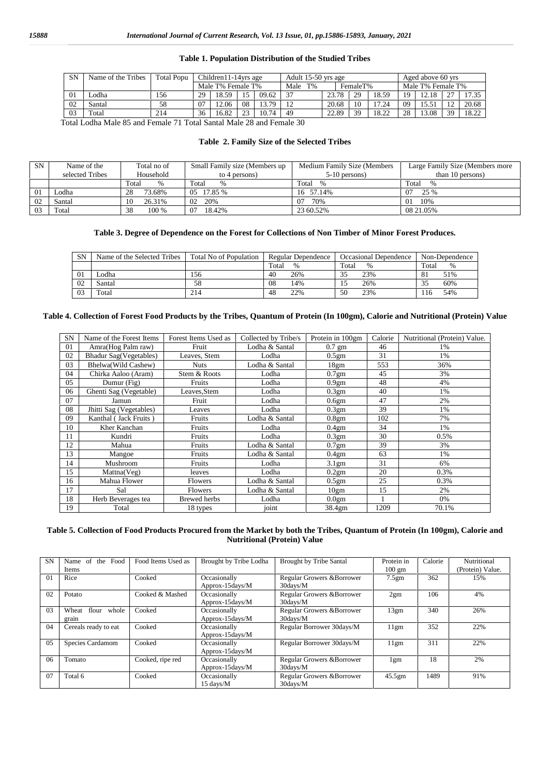#### **Table 1. Population Distribution of the Studied Tribes**

| <b>SN</b> | Name of the Tribes | <b>Total Popu</b> | Children11-14yrs age |                   |             | Adult 15-50 yrs age |               |       |          |       | Aged above 60 yrs |                   |    |       |
|-----------|--------------------|-------------------|----------------------|-------------------|-------------|---------------------|---------------|-------|----------|-------|-------------------|-------------------|----|-------|
|           |                    |                   |                      | Male T% Female T% |             |                     | $T\%$<br>Male |       | FemaleT% |       |                   | Male T% Female T% |    |       |
| 01        | odha               | 156               | 29                   | 18.59             |             | 09.62               | 37            | 23.78 | 29       | 18.59 | 19                | 12.18             |    | 17.35 |
| 02        | Santal             | 58                |                      | 12.06             | 08          | 13.79               | 12            | 20.68 |          |       | 09                |                   |    | 20.68 |
| 03        | Total              | 214               | 36                   | 16.82             | $2^{\circ}$ | 10.74               | 49            | 22.89 | 39       | 18.22 | 28                | 13.08             | 39 | 18.22 |

Total Lodha Male 85 and Female 71 Total Santal Male 28 and Female 30

## **Table 2. Family Size of the Selected Tribes**

| <b>SN</b> | Name of the<br>selected Tribes | Total no of<br>Household | Small Family size (Members up)<br>to 4 persons) | Medium Family Size (Members<br>$5-10$ persons) | Large Family Size (Members more<br>than 10 persons) |
|-----------|--------------------------------|--------------------------|-------------------------------------------------|------------------------------------------------|-----------------------------------------------------|
|           |                                | Total<br>$\%$            | Total<br>%                                      | Total<br>$\frac{0}{0}$                         | Total<br>$\%$                                       |
| 01        | Lodha                          | 73.68%<br>28             | 05 17.85 %                                      | 16 57.14%                                      | 07<br>25 %                                          |
| 02        | Santal                         | 26.31%<br>10             | 20%<br>02                                       | 70%<br>07                                      | 10%<br>01                                           |
| 03        | Total                          | 38<br>100 %              | 18.42%<br>07                                    | 23 60.52%                                      | 08 21.05%                                           |

#### **Table 3. Degree of Dependence on the Forest for Collections of Non Timber of Minor Forest Produces.**

| <b>SN</b> | Name of the Selected Tribes | Total No of Population | Regular Dependence | Occasional Dependence | Non-Dependence |
|-----------|-----------------------------|------------------------|--------------------|-----------------------|----------------|
|           |                             |                        | Total<br>$\%$      | Total<br>$\%$         | Total<br>$\%$  |
| 01        | odha                        | .56                    | 26%<br>40          | 23%                   | 51%            |
| 02        | Santal                      | 58                     | 08<br>14%          | 26%                   | 60%            |
| 03        | Total                       | 214                    | 22%<br>48          | 23%<br>50             | 54%<br>-16     |

#### **Table 4. Collection of Forest Food Products by the Tribes, Quantum of Protein (In 100gm), Calorie and Nutritional (Protein) Value**

| <b>SN</b> | Name of the Forest Items      | Forest Items Used as | Collected by Tribe/s | Protein in 100gm  | Calorie | Nutritional (Protein) Value. |
|-----------|-------------------------------|----------------------|----------------------|-------------------|---------|------------------------------|
| 01        | Amra(Hog Palm raw)            | Fruit                | Lodha & Santal       | $0.7$ gm          | 46      | 1%                           |
| 02        | <b>Bhadur Sag(Vegetables)</b> | Leaves, Stem         | Lodha                | 0.5 <sub>gm</sub> | 31      | 1%                           |
| 03        | Bhelwa(Wild Cashew)           | Nuts                 | Lodha & Santal       | 18gm              | 553     | 36%                          |
| 04        | Chirka Aaloo (Aram)           | Stem & Roots         | Lodha                | 0.7gm             | 45      | 3%                           |
| 05        | Dumur (Fig)                   | Fruits               | Lodha                | 0.9 <sub>gm</sub> | 48      | 4%                           |
| 06        | Ghenti Sag (Vegetable)        | Leaves, Stem         | Lodha                | 0.3 <sub>gm</sub> | 40      | 1%                           |
| 07        | Jamun                         | Fruit                | Lodha                | 0.6gm             | 47      | 2%                           |
| 08        | Jhitti Sag (Vegetables)       | Leaves               | Lodha                | 0.3 <sub>gm</sub> | 39      | 1%                           |
| 09        | Kanthal (Jack Fruits)         | Fruits               | Lodha & Santal       | 0.8 <sub>gm</sub> | 102     | 7%                           |
| 10        | Kher Kanchan                  | Fruits               | Lodha                | 0.4 <sub>gm</sub> | 34      | 1%                           |
| 11        | Kundri                        | Fruits               | Lodha                | 0.3 <sub>gm</sub> | 30      | 0.5%                         |
| 12        | Mahua                         | Fruits               | Lodha & Santal       | $0.7$ gm          | 39      | 3%                           |
| 13        | Mangoe                        | Fruits               | Lodha & Santal       | 0.4 <sub>gm</sub> | 63      | 1%                           |
| 14        | Mushroom                      | Fruits               | Lodha                | 3.1 <sub>gm</sub> | 31      | 6%                           |
| 15        | Mattna(Veg)                   | leaves               | Lodha                | 0.2gm             | 20      | 0.3%                         |
| 16        | Mahua Flower                  | <b>Flowers</b>       | Lodha & Santal       | 0.5 <sub>gm</sub> | 25      | 0.3%                         |
| 17        | Sal                           | Flowers              | Lodha & Santal       | 10gm              | 15      | 2%                           |
| 18        | Herb Beverages tea            | <b>Brewed</b> herbs  | Lodha                | 0.0 <sub>gm</sub> |         | 0%                           |
| 19        | Total                         | 18 types             | joint                | 38.4gm            | 1209    | 70.1%                        |

#### **Table 5. Collection of Food Products Procured from the Market by both the Tribes, Quantum of Protein (In 100gm), Calorie and Nutritional (Protein) Value**

| <b>SN</b> | Name of the Food<br>Items        | Food Items Used as | Brought by Tribe Lodha              | <b>Brought by Tribe Santal</b>            | Protein in<br>$100 \text{ gm}$ | Calorie | Nutritional<br>(Protein) Value. |
|-----------|----------------------------------|--------------------|-------------------------------------|-------------------------------------------|--------------------------------|---------|---------------------------------|
| $\Omega$  | Rice                             | Cooked             | Occasionally<br>Approx-15days/M     | Regular Growers & Borrower<br>$30$ days/M | 7.5 <sub>gm</sub>              | 362     | 15%                             |
| 02        | Potato                           | Cooked & Mashed    | Occasionally<br>Approx-15days/M     | Regular Growers & Borrower<br>$30$ days/M | 2gm                            | 106     | 4%                              |
| 03        | flour<br>whole<br>Wheat<br>grain | Cooked             | Occasionally<br>Approx-15days/M     | Regular Growers & Borrower<br>30days/M    | 13gm                           | 340     | 26%                             |
| 04        | Cereals ready to eat             | Cooked             | Occasionally<br>Approx-15days/M     | Regular Borrower 30days/M                 | 11gm                           | 352     | 22%                             |
| 05        | Species Cardamom                 | Cooked             | Occasionally<br>Approx-15days/M     | Regular Borrower 30days/M                 | 11gm                           | 311     | 22%                             |
| 06        | Tomato                           | Cooked, ripe red   | Occasionally<br>Approx-15days/M     | Regular Growers & Borrower<br>$30$ days/M | 1gm                            | 18      | 2%                              |
| 07        | Total 6                          | Cooked             | Occasionally<br>$15 \text{ days/M}$ | Regular Growers & Borrower<br>30days/M    | $45.5$ gm                      | 1489    | 91%                             |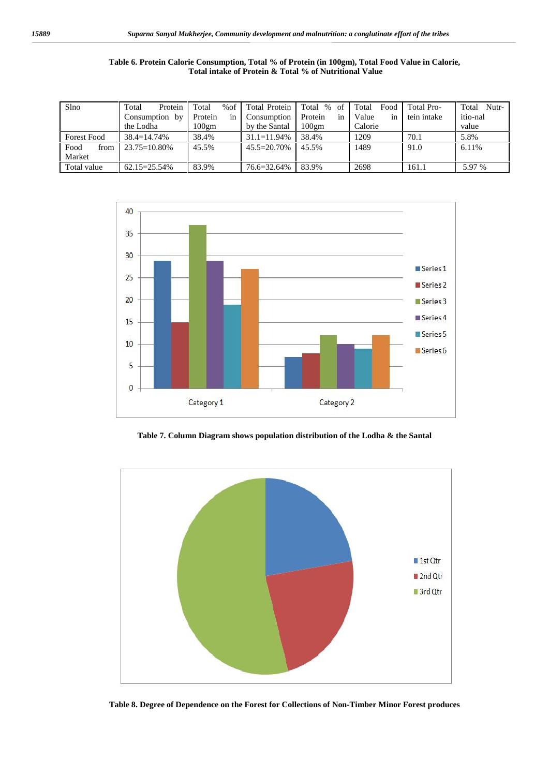| Table 6. Protein Calorie Consumption, Total % of Protein (in 100gm), Total Food Value in Calorie, |  |
|---------------------------------------------------------------------------------------------------|--|
| Total intake of Protein & Total % of Nutritional Value                                            |  |

| Slno               | Total<br>Protein          | %of<br>Total | Total Protein    | Total %<br>of                | Food<br>Total | Total Pro-  | Nutr-<br>Total |
|--------------------|---------------------------|--------------|------------------|------------------------------|---------------|-------------|----------------|
|                    | Protein<br>Consumption by |              | Consumption      | in<br>Protein<br>Value<br>1n |               | tein intake | itio-nal       |
|                    | the Lodha                 | $100$ gm     | by the Santal    | $100$ gm                     | Calorie       |             | value          |
| <b>Forest Food</b> | $38.4 = 14.74\%$          | 38.4%        | $31.1 = 11.94\%$ | 38.4%                        | 1209          | 70.1        | 5.8%           |
| Food<br>from       | $23.75 = 10.80\%$         | 45.5%        | 45.5=20.70%      | 45.5%                        | 1489          | 91.0        | 6.11%          |
| Market             |                           |              |                  |                              |               |             |                |
| Total value        | $62.15 = 25.54\%$         | 83.9%        | 76.6=32.64%      | 83.9%                        | 2698          | 161.1       | 5.97 %         |



**Table 7. Column Diagram shows population distribution of the Lodha & the Santal**



**Table 8. Degree of Dependence on the Forest for Collections of Non-Timber Minor Forest produces**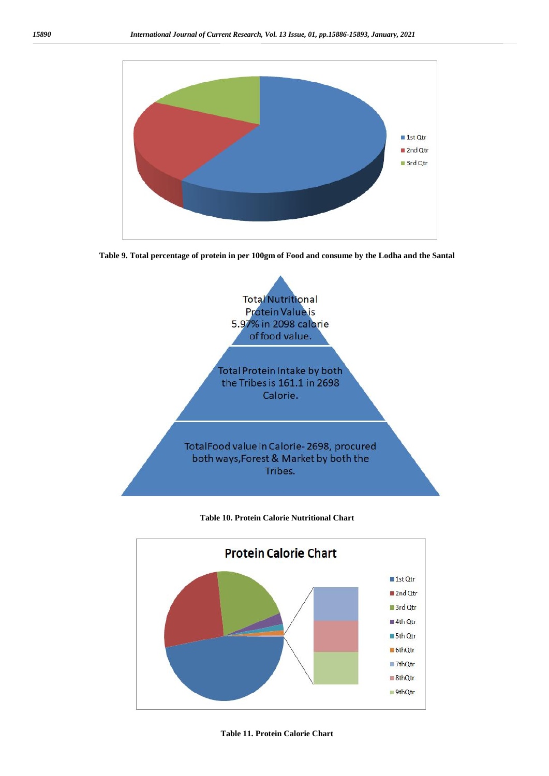

**Table 9. Total percentage of protein in per 100gm of Food and consume by the Lodha and the Santal**



### **Table 10. Protein Calorie Nutritional Chart**

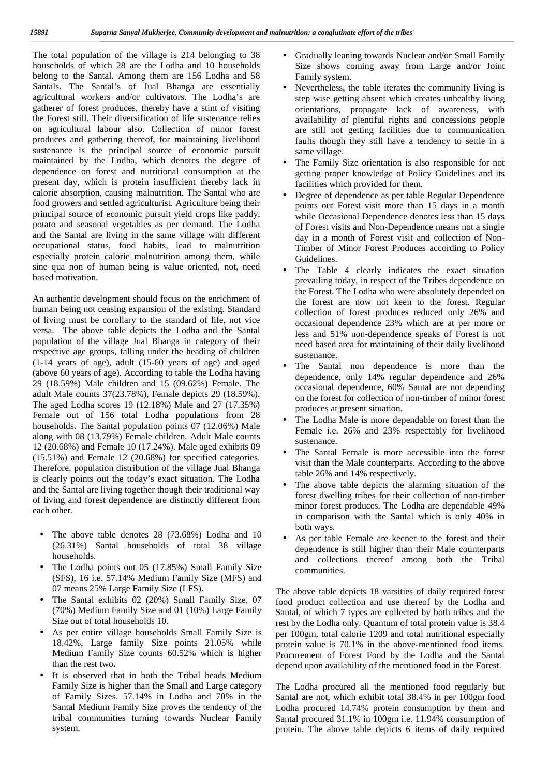The total population of the village is 214 belonging to 38 households of which 28 are the Lodha and 10 households belong to the Santal. Among them are 156 Lodha and 58 Santals. The Santal's of Jual Bhanga are essentially agricultural workers and/or cultivators. The Lodha's are gatherer of forest produces, thereby have a stint of visiting the Forest still. Their diversification of life sustenance relies on agricultural labour also. Collection of minor forest produces and gathering thereof, for maintaining livelihood sustenance is the principal source of economic pursuit maintained by the Lodha, which denotes the degree of dependence on forest and nutritional consumption at the present day, which is protein insufficient thereby lack in calorie absorption, causing malnutrition. The Santal who are food growers and settled agriculturist. Agriculture being their principal source of economic pursuit yield crops like paddy, potato and seasonal vegetables as per demand. The Lodha and the Santal are living in the same village with different occupational status, food habits, lead to malnutrition especially protein calorie malnutrition among them, while sine qua non of human being is value oriented, not, need based motivation.

An authentic development should focus on the enrichment of human being not ceasing expansion of the existing. Standard of living must be corollary to the standard of life, not vice versa. The above table depicts the Lodha and the Santal population of the village Jual Bhanga in category of their respective age groups, falling under the heading of children (1-14 years of age), adult (15-60 years of age) and aged (above 60 years of age). According to table the Lodha having 29 (18.59%) Male children and 15 (09.62%) Female. The adult Male counts 37(23.78%), Female depicts 29 (18.59%). The aged Lodha scores 19 (12.18%) Male and 27 (17.35%) Female out of 156 total Lodha populations from 28 households. The Santal population points 07 (12.06%) Male along with 08 (13.79%) Female children. Adult Male counts 12 (20.68%) and Female 10 (17.24%). Male aged exhibits 09 (15.51%) and Female 12 (20.68%) for specified categories. Therefore, population distribution of the village Jual Bhanga is clearly points out the today's exact situation. The Lodha and the Santal are living together though their traditional way of living and forest dependence are distinctly different from each other.

- The above table denotes 28 (73.68%) Lodha and 10 (26.31%) Santal households of total 38 village households.
- The Lodha points out 05 (17.85%) Small Family Size (SFS), 16 i.e. 57.14% Medium Family Size (MFS) and 07 means 25% Large Family Size (LFS).
- The Santal exhibits 02 (20%) Small Family Size, 07 (70%) Medium Family Size and 01 (10%) Large Family Size out of total households 10.
- As per entire village households Small Family Size is 18.42%, Large family Size points 21.05% while Medium Family Size counts 60.52% which is higher than the rest two**.**
- It is observed that in both the Tribal heads Medium Family Size is higher than the Small and Large category of Family Sizes. 57.14% in Lodha and 70% in the Santal Medium Family Size proves the tendency of the tribal communities turning towards Nuclear Family system.
- Gradually leaning towards Nuclear and/or Small Family Size shows coming away from Large and/or Joint Family system.
- Nevertheless, the table iterates the community living is step wise getting absent which creates unhealthy living orientations, propagate lack of awareness, with availability of plentiful rights and concessions people are still not getting facilities due to communication faults though they still have a tendency to settle in a same village.
- The Family Size orientation is also responsible for not getting proper knowledge of Policy Guidelines and its facilities which provided for them.
- Degree of dependence as per table Regular Dependence points out Forest visit more than 15 days in a month while Occasional Dependence denotes less than 15 days of Forest visits and Non-Dependence means not a single day in a month of Forest visit and collection of Non- Timber of Minor Forest Produces according to Policy Guidelines.
- The Table 4 clearly indicates the exact situation prevailing today, in respect of the Tribes dependence on the Forest. The Lodha who were absolutely depended on the forest are now not keen to the forest. Regular collection of forest produces reduced only 26% and occasional dependence 23% which are at per more or less and 51% non-dependence speaks of Forest is not need based area for maintaining of their daily livelihood sustenance.
- The Santal non dependence is more than the dependence, only 14% regular dependence and 26% occasional dependence, 60% Santal are not depending on the forest for collection of non-timber of minor forest produces at present situation.
- The Lodha Male is more dependable on forest than the Female i.e. 26% and 23% respectably for livelihood sustenance.
- The Santal Female is more accessible into the forest visit than the Male counterparts. According to the above table 26% and 14% respectively.
- The above table depicts the alarming situation of the forest dwelling tribes for their collection of non-timber minor forest produces. The Lodha are dependable 49% in comparison with the Santal which is only 40% in both ways.
- As per table Female are keener to the forest and their dependence is still higher than their Male counterparts and collections thereof among both the Tribal communities.

The above table depicts 18 varsities of daily required forest food product collection and use thereof by the Lodha and Santal, of which 7 types are collected by both tribes and the rest by the Lodha only. Quantum of total protein value is 38.4 per 100gm, total calorie 1209 and total nutritional especially protein value is 70.1% in the above-mentioned food items. Procurement of Forest Food by the Lodha and the Santal depend upon availability of the mentioned food in the Forest.

The Lodha procured all the mentioned food regularly but Santal are not, which exhibit total 38.4% in per 100gm food Lodha procured 14.74% protein consumption by them and Santal procured 31.1% in 100gm i.e. 11.94% consumption of protein. The above table depicts 6 items of daily required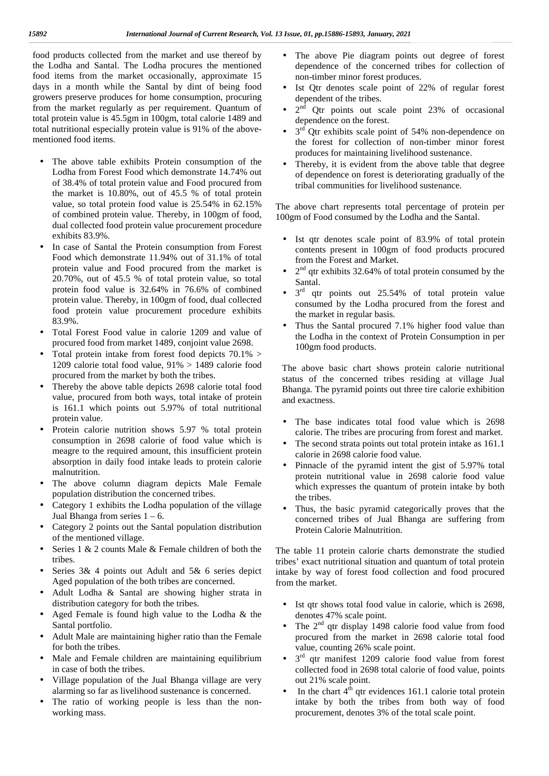food products collected from the market and use thereof by the Lodha and Santal. The Lodha procures the mentioned food items from the market occasionally, approximate 15 days in a month while the Santal by dint of being food growers preserve produces for home consumption, procuring from the market regularly as per requirement. Quantum of total protein value is 45.5gm in 100gm, total calorie 1489 and total nutritional especially protein value is 91% of the above mentioned food items.

- The above table exhibits Protein consumption of the Lodha from Forest Food which demonstrate 14.74% out of 38.4% of total protein value and Food procured from the market is 10.80%, out of 45.5 % of total protein value, so total protein food value is 25.54% in 62.15% of combined protein value. Thereby, in 100gm of food, dual collected food protein value procurement procedure exhibits 83.9%.
- In case of Santal the Protein consumption from Forest Food which demonstrate 11.94% out of 31.1% of total protein value and Food procured from the market is 20.70%, out of 45.5 % of total protein value, so total protein food value is 32.64% in 76.6% of combined protein value. Thereby, in 100gm of food, dual collected food protein value procurement procedure exhibits 83.9%.
- Total Forest Food value in calorie 1209 and value of procured food from market 1489, conjoint value 2698.
- Total protein intake from forest food depicts 70.1% > 1209 calorie total food value, 91% > 1489 calorie food procured from the market by both the tribes.
- Thereby the above table depicts 2698 calorie total food value, procured from both ways, total intake of protein is 161.1 which points out 5.97% of total nutritional protein value.
- Protein calorie nutrition shows 5.97 % total protein consumption in 2698 calorie of food value which is meagre to the required amount, this insufficient protein absorption in daily food intake leads to protein calorie malnutrition.
- The above column diagram depicts Male Female population distribution the concerned tribes.
- Category 1 exhibits the Lodha population of the village Jual Bhanga from series  $1 - 6$ .
- Category 2 points out the Santal population distribution of the mentioned village.
- Series 1 & 2 counts Male & Female children of both the tribes.
- Series 3& 4 points out Adult and 5& 6 series depict Aged population of the both tribes are concerned.
- Adult Lodha & Santal are showing higher strata in distribution category for both the tribes.
- Aged Female is found high value to the Lodha & the Santal portfolio.
- Adult Male are maintaining higher ratio than the Female for both the tribes.
- Male and Female children are maintaining equilibrium in case of both the tribes.
- Village population of the Jual Bhanga village are very alarming so far as livelihood sustenance is concerned.
- The ratio of working people is less than the non working mass.
- The above Pie diagram points out degree of forest dependence of the concerned tribes for collection of non-timber minor forest produces.
- Ist Qtr denotes scale point of 22% of regular forest dependent of the tribes.
- 2 nd Qtr points out scale point 23% of occasional dependence on the forest.
- $\int 3^{rd}$  Qtr exhibits scale point of 54% non-dependence on the forest for collection of non-timber minor forest produces for maintaining livelihood sustenance.
- Thereby, it is evident from the above table that degree of dependence on forest is deteriorating gradually of the tribal communities for livelihood sustenance.

The above chart represents total percentage of protein per 100gm of Food consumed by the Lodha and the Santal.

- Ist qtr denotes scale point of  $83.9\%$  of total protein contents present in 100gm of food products procured from the Forest and Market.
- $\int 2^{nd}$  qtr exhibits 32.64% of total protein consumed by the Santal.
- $\int 3^{rd}$  qtr points out 25.54% of total protein value consumed by the Lodha procured from the forest and the market in regular basis.
- Thus the Santal procured 7.1% higher food value than the Lodha in the context of Protein Consumption in per 100gm food products.

The above basic chart shows protein calorie nutritional status of the concerned tribes residing at village Jual Bhanga. The pyramid points out three tire calorie exhibition and exactness.

- The base indicates total food value which is 2698 calorie. The tribes are procuring from forest and market. The second strata points out total protein intake as 161.1 calorie in 2698 calorie food value.
- Pinnacle of the pyramid intent the gist of 5.97% total protein nutritional value in 2698 calorie food value which expresses the quantum of protein intake by both the tribes.
- Thus, the basic pyramid categorically proves that the concerned tribes of Jual Bhanga are suffering from Protein Calorie Malnutrition.

The table 11 protein calorie charts demonstrate the studied tribes' exact nutritional situation and quantum of total protein intake by way of forest food collection and food procured from the market.

- Ist qtr shows total food value in calorie, which is 2698, denotes 47% scale point.
- The  $2<sup>nd</sup>$  qtr display 1498 calorie food value from food procured from the market in 2698 calorie total food value, counting 26% scale point.
- $\int 3^{rd}$  qtr manifest 1209 calorie food value from forest collected food in 2698 total calorie of food value, points out 21% scale point.
- In the chart  $4<sup>th</sup>$  qtr evidences 161.1 calorie total protein intake by both the tribes from both way of food procurement, denotes 3% of the total scale point.